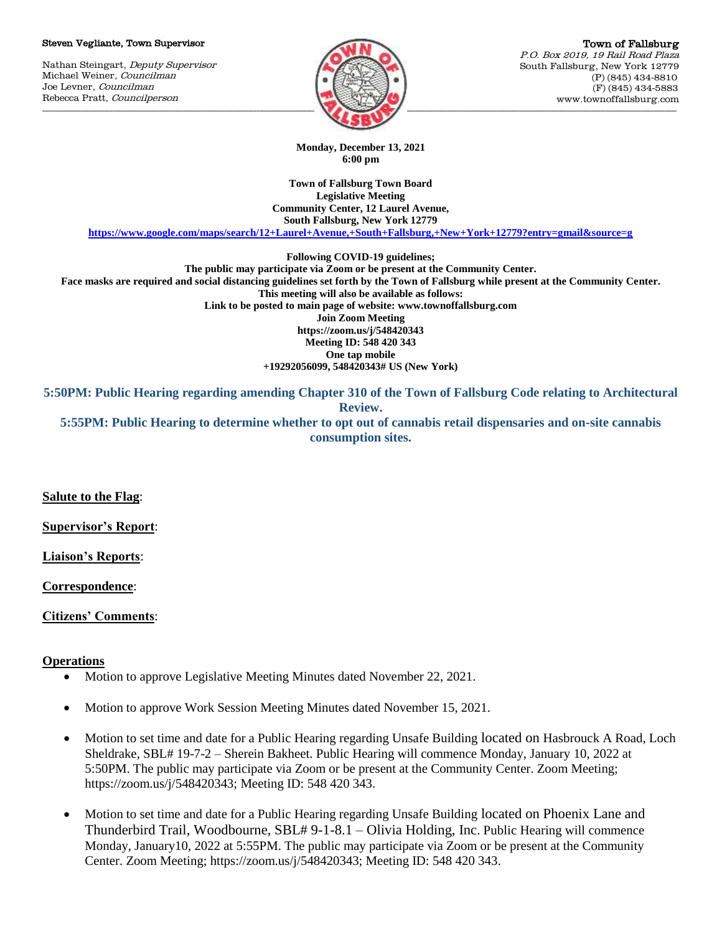#### Steven Vegliante, Town Supervisor

Nathan Steingart, Deputy Supervisor Michael Weiner, Councilman Joe Levner, Councilman Rebecca Pratt, Councilperson



Town of Fallsburg P.O. Box 2019, 19 Rail Road Plaza South Fallsburg, New York 12779 (P) (845) 434-8810 (F) (845) 434-5883 www.townoffallsburg.com

**Monday, December 13, 2021 6:00 pm**

**Town of Fallsburg Town Board Legislative Meeting Community Center, 12 Laurel Avenue, South Fallsburg, New York 12779**

**<https://www.google.com/maps/search/12+Laurel+Avenue,+South+Fallsburg,+New+York+12779?entry=gmail&source=g>**

**Following COVID-19 guidelines;**

**The public may participate via Zoom or be present at the Community Center. Face masks are required and social distancing guidelines set forth by the Town of Fallsburg while present at the Community Center. This meeting will also be available as follows: Link to be posted to main page of website: www.townoffallsburg.com Join Zoom Meeting https://zoom.us/j/548420343 Meeting ID: 548 420 343 One tap mobile +19292056099, 548420343# US (New York)**

**5:50PM: Public Hearing regarding amending Chapter 310 of the Town of Fallsburg Code relating to Architectural Review.**

**5:55PM: Public Hearing to determine whether to opt out of cannabis retail dispensaries and on-site cannabis consumption sites.** 

**Salute to the Flag**:

**Supervisor's Report**:

**Liaison's Reports**:

**Correspondence**:

**Citizens' Comments**:

# **Operations**

- Motion to approve Legislative Meeting Minutes dated November 22, 2021.
- Motion to approve Work Session Meeting Minutes dated November 15, 2021.
- Motion to set time and date for a Public Hearing regarding Unsafe Building located on Hasbrouck A Road, Loch Sheldrake, SBL# 19-7-2 – Sherein Bakheet. Public Hearing will commence Monday, January 10, 2022 at 5:50PM. The public may participate via Zoom or be present at the Community Center. Zoom Meeting; https://zoom.us/j/548420343; Meeting ID: 548 420 343.
- Motion to set time and date for a Public Hearing regarding Unsafe Building located on Phoenix Lane and Thunderbird Trail, Woodbourne, SBL# 9-1-8.1 – Olivia Holding, Inc. Public Hearing will commence Monday, January10, 2022 at 5:55PM. The public may participate via Zoom or be present at the Community Center. Zoom Meeting; https://zoom.us/j/548420343; Meeting ID: 548 420 343.